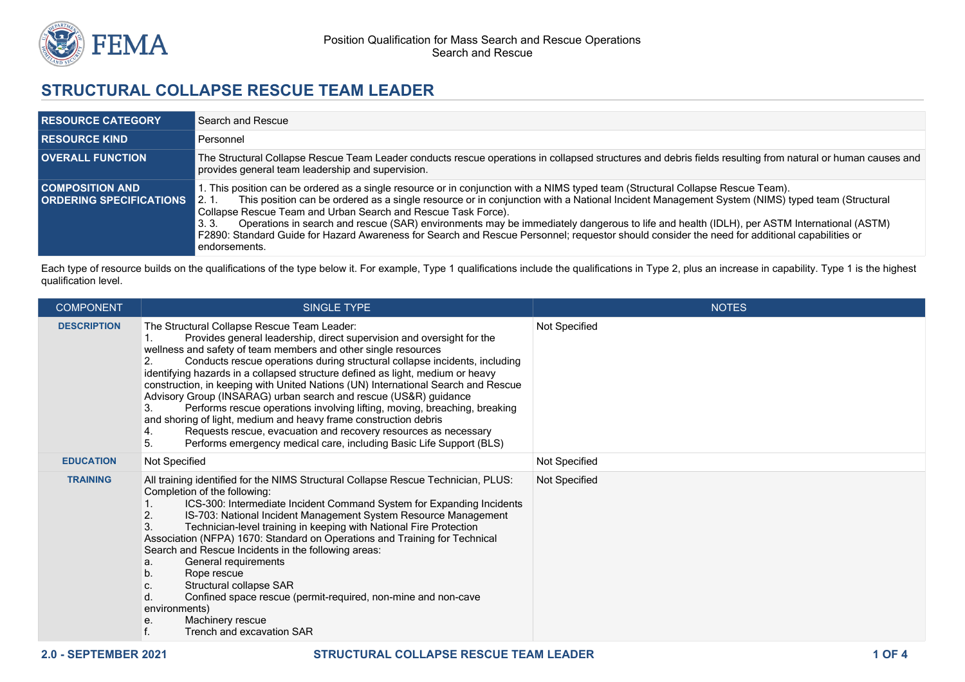

## **STRUCTURAL COLLAPSE RESCUE TEAM LEADER**

| <b>RESOURCE CATEGORY</b>                                 | Search and Rescue                                                                                                                                                                                                                                                                                                                                                                                                                                                                                                                                                                                                                                                               |
|----------------------------------------------------------|---------------------------------------------------------------------------------------------------------------------------------------------------------------------------------------------------------------------------------------------------------------------------------------------------------------------------------------------------------------------------------------------------------------------------------------------------------------------------------------------------------------------------------------------------------------------------------------------------------------------------------------------------------------------------------|
| <b>RESOURCE KIND</b>                                     | Personnel                                                                                                                                                                                                                                                                                                                                                                                                                                                                                                                                                                                                                                                                       |
| <b>OVERALL FUNCTION</b>                                  | The Structural Collapse Rescue Team Leader conducts rescue operations in collapsed structures and debris fields resulting from natural or human causes and<br>provides general team leadership and supervision.                                                                                                                                                                                                                                                                                                                                                                                                                                                                 |
| <b>COMPOSITION AND</b><br><b>ORDERING SPECIFICATIONS</b> | 1. This position can be ordered as a single resource or in conjunction with a NIMS typed team (Structural Collapse Rescue Team).<br>This position can be ordered as a single resource or in conjunction with a National Incident Management System (NIMS) typed team (Structural<br>12.1<br>Collapse Rescue Team and Urban Search and Rescue Task Force).<br>Operations in search and rescue (SAR) environments may be immediately dangerous to life and health (IDLH), per ASTM International (ASTM)<br>3.3.<br>F2890: Standard Guide for Hazard Awareness for Search and Rescue Personnel; requestor should consider the need for additional capabilities or<br>endorsements. |

Each type of resource builds on the qualifications of the type below it. For example, Type 1 qualifications include the qualifications in Type 2, plus an increase in capability. Type 1 is the highest qualification level.

| <b>COMPONENT</b>   | SINGLE TYPE                                                                                                                                                                                                                                                                                                                                                                                                                                                                                                                                                                                                                                                                                                                                                                                                                        | <b>NOTES</b>  |
|--------------------|------------------------------------------------------------------------------------------------------------------------------------------------------------------------------------------------------------------------------------------------------------------------------------------------------------------------------------------------------------------------------------------------------------------------------------------------------------------------------------------------------------------------------------------------------------------------------------------------------------------------------------------------------------------------------------------------------------------------------------------------------------------------------------------------------------------------------------|---------------|
| <b>DESCRIPTION</b> | The Structural Collapse Rescue Team Leader:<br>Provides general leadership, direct supervision and oversight for the<br>wellness and safety of team members and other single resources<br>Conducts rescue operations during structural collapse incidents, including<br>2.<br>identifying hazards in a collapsed structure defined as light, medium or heavy<br>construction, in keeping with United Nations (UN) International Search and Rescue<br>Advisory Group (INSARAG) urban search and rescue (US&R) guidance<br>Performs rescue operations involving lifting, moving, breaching, breaking<br>3.<br>and shoring of light, medium and heavy frame construction debris<br>Requests rescue, evacuation and recovery resources as necessary<br>4.<br>5.<br>Performs emergency medical care, including Basic Life Support (BLS) | Not Specified |
| <b>EDUCATION</b>   | Not Specified                                                                                                                                                                                                                                                                                                                                                                                                                                                                                                                                                                                                                                                                                                                                                                                                                      | Not Specified |
| <b>TRAINING</b>    | All training identified for the NIMS Structural Collapse Rescue Technician, PLUS:<br>Completion of the following:<br>ICS-300: Intermediate Incident Command System for Expanding Incidents<br>2.<br>IS-703: National Incident Management System Resource Management<br>3.<br>Technician-level training in keeping with National Fire Protection<br>Association (NFPA) 1670: Standard on Operations and Training for Technical<br>Search and Rescue Incidents in the following areas:<br>General requirements<br>а.<br>b.<br>Rope rescue<br>Structural collapse SAR<br>C.<br>Confined space rescue (permit-required, non-mine and non-cave<br>d.<br>environments)<br>Machinery rescue<br>е.<br>Trench and excavation SAR                                                                                                            | Not Specified |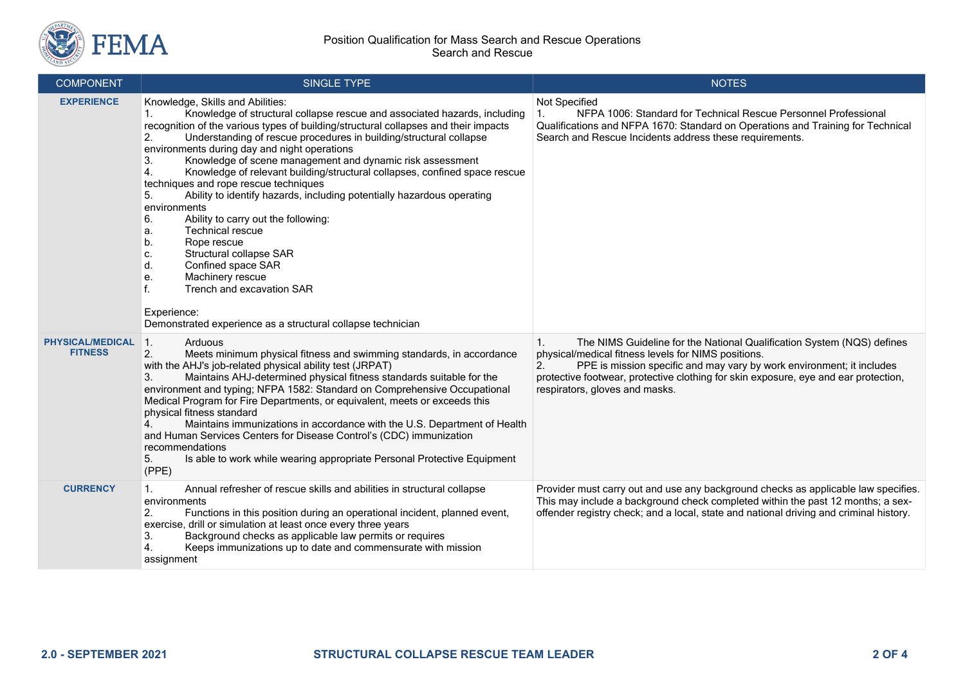

| <b>COMPONENT</b>                          | <b>SINGLE TYPE</b>                                                                                                                                                                                                                                                                                                                                                                                                                                                                                                                                                                                                                                                                                                                                                                                                                                                                                                                          | <b>NOTES</b>                                                                                                                                                                                                                                                                                                                                |
|-------------------------------------------|---------------------------------------------------------------------------------------------------------------------------------------------------------------------------------------------------------------------------------------------------------------------------------------------------------------------------------------------------------------------------------------------------------------------------------------------------------------------------------------------------------------------------------------------------------------------------------------------------------------------------------------------------------------------------------------------------------------------------------------------------------------------------------------------------------------------------------------------------------------------------------------------------------------------------------------------|---------------------------------------------------------------------------------------------------------------------------------------------------------------------------------------------------------------------------------------------------------------------------------------------------------------------------------------------|
| <b>EXPERIENCE</b>                         | Knowledge, Skills and Abilities:<br>Knowledge of structural collapse rescue and associated hazards, including<br>recognition of the various types of building/structural collapses and their impacts<br>Understanding of rescue procedures in building/structural collapse<br>2.<br>environments during day and night operations<br>3.<br>Knowledge of scene management and dynamic risk assessment<br>4.<br>Knowledge of relevant building/structural collapses, confined space rescue<br>techniques and rope rescue techniques<br>Ability to identify hazards, including potentially hazardous operating<br>5.<br>environments<br>6.<br>Ability to carry out the following:<br><b>Technical rescue</b><br>а.<br>Rope rescue<br>b.<br>Structural collapse SAR<br>c.<br>Confined space SAR<br>d.<br>Machinery rescue<br>е.<br>f.<br>Trench and excavation SAR<br>Experience:<br>Demonstrated experience as a structural collapse technician | Not Specified<br>NFPA 1006: Standard for Technical Rescue Personnel Professional<br>Qualifications and NFPA 1670: Standard on Operations and Training for Technical<br>Search and Rescue Incidents address these requirements.                                                                                                              |
| <b>PHYSICAL/MEDICAL</b><br><b>FITNESS</b> | 1.<br>Arduous<br>2.<br>Meets minimum physical fitness and swimming standards, in accordance<br>with the AHJ's job-related physical ability test (JRPAT)<br>Maintains AHJ-determined physical fitness standards suitable for the<br>3.<br>environment and typing; NFPA 1582: Standard on Comprehensive Occupational<br>Medical Program for Fire Departments, or equivalent, meets or exceeds this<br>physical fitness standard<br>4.<br>Maintains immunizations in accordance with the U.S. Department of Health<br>and Human Services Centers for Disease Control's (CDC) immunization<br>recommendations<br>Is able to work while wearing appropriate Personal Protective Equipment<br>5.<br>(PPE)                                                                                                                                                                                                                                         | The NIMS Guideline for the National Qualification System (NQS) defines<br>1.<br>physical/medical fitness levels for NIMS positions.<br>2.<br>PPE is mission specific and may vary by work environment; it includes<br>protective footwear, protective clothing for skin exposure, eye and ear protection,<br>respirators, gloves and masks. |
| <b>CURRENCY</b>                           | Annual refresher of rescue skills and abilities in structural collapse<br>1.<br>environments<br>2.<br>Functions in this position during an operational incident, planned event,<br>exercise, drill or simulation at least once every three years<br>Background checks as applicable law permits or requires<br>3.<br>Keeps immunizations up to date and commensurate with mission<br>assignment                                                                                                                                                                                                                                                                                                                                                                                                                                                                                                                                             | Provider must carry out and use any background checks as applicable law specifies.<br>This may include a background check completed within the past 12 months; a sex-<br>offender registry check; and a local, state and national driving and criminal history.                                                                             |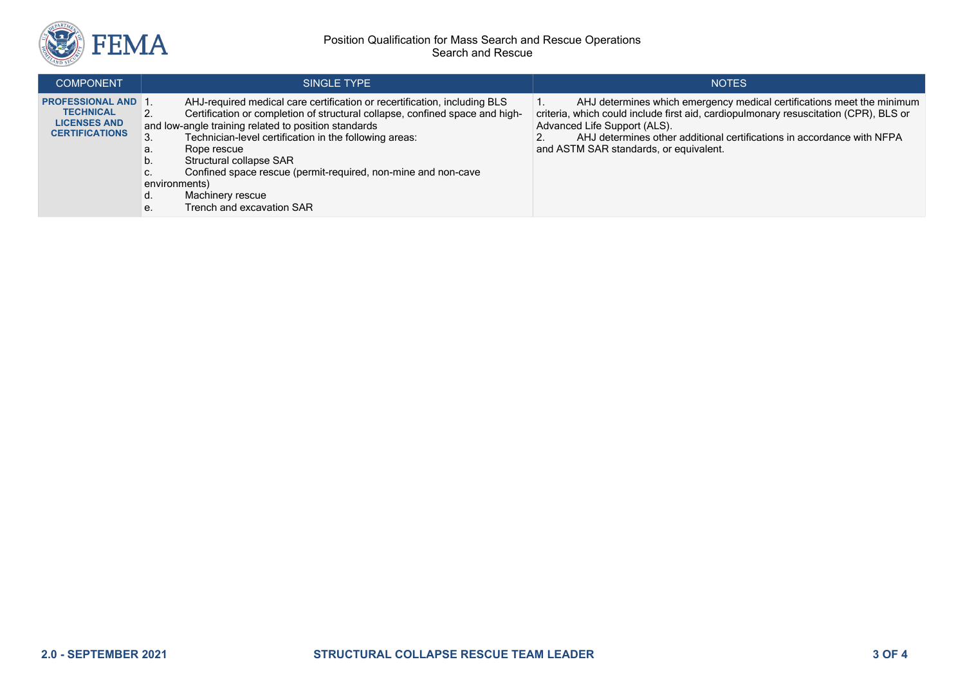

## Position Qualification for Mass Search and Rescue Operations Search and Rescue

| <b>COMPONENT</b>                                                                              | SINGLE TYPE                                                                                                                                                                                                                                                                                                                                                                                                                                                                      | <b>NOTES</b>                                                                                                                                                                                                                                                                                                       |
|-----------------------------------------------------------------------------------------------|----------------------------------------------------------------------------------------------------------------------------------------------------------------------------------------------------------------------------------------------------------------------------------------------------------------------------------------------------------------------------------------------------------------------------------------------------------------------------------|--------------------------------------------------------------------------------------------------------------------------------------------------------------------------------------------------------------------------------------------------------------------------------------------------------------------|
| <b>PROFESSIONAL AND 1</b><br><b>TECHNICAL</b><br><b>LICENSES AND</b><br><b>CERTIFICATIONS</b> | AHJ-required medical care certification or recertification, including BLS<br>Certification or completion of structural collapse, confined space and high-<br>and low-angle training related to position standards<br>Technician-level certification in the following areas:<br>Rope rescue<br>а.<br>Structural collapse SAR<br>υ.<br>Confined space rescue (permit-required, non-mine and non-cave<br>environments)<br>Machinery rescue<br>u.<br>Trench and excavation SAR<br>е. | AHJ determines which emergency medical certifications meet the minimum<br>criteria, which could include first aid, cardiopulmonary resuscitation (CPR), BLS or<br>Advanced Life Support (ALS).<br>AHJ determines other additional certifications in accordance with NFPA<br>and ASTM SAR standards, or equivalent. |